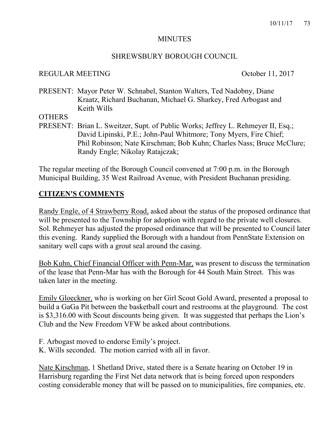#### MINUTES

#### SHREWSBURY BOROUGH COUNCIL

#### REGULAR MEETING October 11, 2017

PRESENT: Mayor Peter W. Schnabel, Stanton Walters, Ted Nadobny, Diane Kraatz, Richard Buchanan, Michael G. Sharkey, Fred Arbogast and Keith Wills

#### **OTHERS**

PRESENT: Brian L. Sweitzer, Supt. of Public Works; Jeffrey L. Rehmeyer II, Esq.; David Lipinski, P.E.; John-Paul Whitmore; Tony Myers, Fire Chief; Phil Robinson; Nate Kirschman; Bob Kuhn; Charles Nass; Bruce McClure; Randy Engle; Nikolay Ratajczak;

The regular meeting of the Borough Council convened at 7:00 p.m. in the Borough Municipal Building, 35 West Railroad Avenue, with President Buchanan presiding.

#### **CITIZEN'S COMMENTS**

Randy Engle, of 4 Strawberry Road, asked about the status of the proposed ordinance that will be presented to the Township for adoption with regard to the private well closures. Sol. Rehmeyer has adjusted the proposed ordinance that will be presented to Council later this evening. Randy supplied the Borough with a handout from PennState Extension on sanitary well caps with a grout seal around the casing.

Bob Kuhn, Chief Financial Officer with Penn-Mar, was present to discuss the termination of the lease that Penn-Mar has with the Borough for 44 South Main Street. This was taken later in the meeting.

Emily Gloeckner, who is working on her Girl Scout Gold Award, presented a proposal to build a GaGa Pit between the basketball court and restrooms at the playground. The cost is \$3,316.00 with Scout discounts being given. It was suggested that perhaps the Lion's Club and the New Freedom VFW be asked about contributions.

F. Arbogast moved to endorse Emily's project.

K. Wills seconded. The motion carried with all in favor.

Nate Kirschman, 1 Shetland Drive, stated there is a Senate hearing on October 19 in Harrisburg regarding the First Net data network that is being forced upon responders costing considerable money that will be passed on to municipalities, fire companies, etc.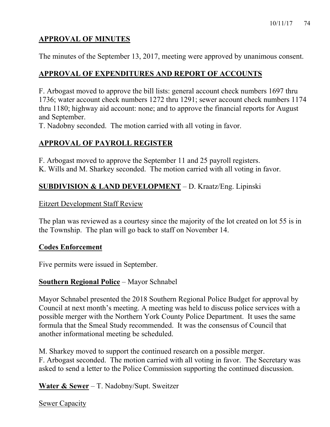### **APPROVAL OF MINUTES**

The minutes of the September 13, 2017, meeting were approved by unanimous consent.

### **APPROVAL OF EXPENDITURES AND REPORT OF ACCOUNTS**

F. Arbogast moved to approve the bill lists: general account check numbers 1697 thru 1736; water account check numbers 1272 thru 1291; sewer account check numbers 1174 thru 1180; highway aid account: none; and to approve the financial reports for August and September.

T. Nadobny seconded. The motion carried with all voting in favor.

# **APPROVAL OF PAYROLL REGISTER**

F. Arbogast moved to approve the September 11 and 25 payroll registers. K. Wills and M. Sharkey seconded. The motion carried with all voting in favor.

# **SUBDIVISION & LAND DEVELOPMENT** – D. Kraatz/Eng. Lipinski

Eitzert Development Staff Review

The plan was reviewed as a courtesy since the majority of the lot created on lot 55 is in the Township. The plan will go back to staff on November 14.

### **Codes Enforcement**

Five permits were issued in September.

#### **Southern Regional Police** – Mayor Schnabel

Mayor Schnabel presented the 2018 Southern Regional Police Budget for approval by Council at next month's meeting. A meeting was held to discuss police services with a possible merger with the Northern York County Police Department. It uses the same formula that the Smeal Study recommended. It was the consensus of Council that another informational meeting be scheduled.

M. Sharkey moved to support the continued research on a possible merger. F. Arbogast seconded. The motion carried with all voting in favor. The Secretary was asked to send a letter to the Police Commission supporting the continued discussion.

**Water & Sewer** – T. Nadobny/Supt. Sweitzer

Sewer Capacity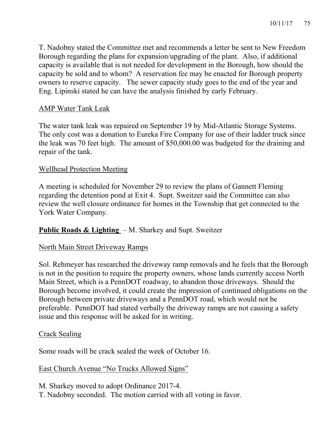T. Nadobny stated the Committee met and recommends a letter be sent to New Freedom Borough regarding the plans for expansion/upgrading of the plant. Also, if additional capacity is available that is not needed for development in the Borough, how should the capacity be sold and to whom? A reservation fee may be enacted for Borough property owners to reserve capacity. The sewer capacity study goes to the end of the year and Eng. Lipinski stated he can have the analysis finished by early February.

### AMP Water Tank Leak

The water tank leak was repaired on September 19 by Mid-Atlantic Storage Systems. The only cost was a donation to Eureka Fire Company for use of their ladder truck since the leak was 70 feet high. The amount of \$50,000.00 was budgeted for the draining and repair of the tank.

### Wellhead Protection Meeting

A meeting is scheduled for November 29 to review the plans of Gannett Fleming regarding the detention pond at Exit 4. Supt. Sweitzer said the Committee can also review the well closure ordinance for homes in the Township that get connected to the York Water Company.

# **Public Roads & Lighting** – M. Sharkey and Supt. Sweitzer

### North Main Street Driveway Ramps

Sol. Rehmeyer has researched the driveway ramp removals and he feels that the Borough is not in the position to require the property owners, whose lands currently access North Main Street, which is a PennDOT roadway, to abandon those driveways. Should the Borough become involved, it could create the impression of continued obligations on the Borough between private driveways and a PennDOT road, which would not be preferable. PennDOT had stated verbally the driveway ramps are not causing a safety issue and this response will be asked for in writing.

### Crack Sealing

Some roads will be crack sealed the week of October 16.

### East Church Avenue "No Trucks Allowed Signs"

M. Sharkey moved to adopt Ordinance 2017-4. T. Nadobny seconded. The motion carried with all voting in favor.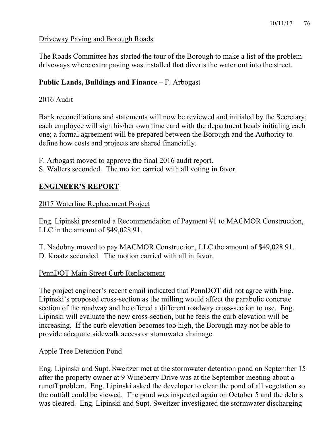### Driveway Paving and Borough Roads

The Roads Committee has started the tour of the Borough to make a list of the problem driveways where extra paving was installed that diverts the water out into the street.

# **Public Lands, Buildings and Finance** – F. Arbogast

# 2016 Audit

Bank reconciliations and statements will now be reviewed and initialed by the Secretary; each employee will sign his/her own time card with the department heads initialing each one; a formal agreement will be prepared between the Borough and the Authority to define how costs and projects are shared financially.

- F. Arbogast moved to approve the final 2016 audit report.
- S. Walters seconded. The motion carried with all voting in favor.

# **ENGINEER'S REPORT**

# 2017 Waterline Replacement Project

Eng. Lipinski presented a Recommendation of Payment #1 to MACMOR Construction, LLC in the amount of \$49,028.91.

T. Nadobny moved to pay MACMOR Construction, LLC the amount of \$49,028.91. D. Kraatz seconded. The motion carried with all in favor.

### PennDOT Main Street Curb Replacement

The project engineer's recent email indicated that PennDOT did not agree with Eng. Lipinski's proposed cross-section as the milling would affect the parabolic concrete section of the roadway and he offered a different roadway cross-section to use. Eng. Lipinski will evaluate the new cross-section, but he feels the curb elevation will be increasing. If the curb elevation becomes too high, the Borough may not be able to provide adequate sidewalk access or stormwater drainage.

### Apple Tree Detention Pond

Eng. Lipinski and Supt. Sweitzer met at the stormwater detention pond on September 15 after the property owner at 9 Wineberry Drive was at the September meeting about a runoff problem. Eng. Lipinski asked the developer to clear the pond of all vegetation so the outfall could be viewed. The pond was inspected again on October 5 and the debris was cleared. Eng. Lipinski and Supt. Sweitzer investigated the stormwater discharging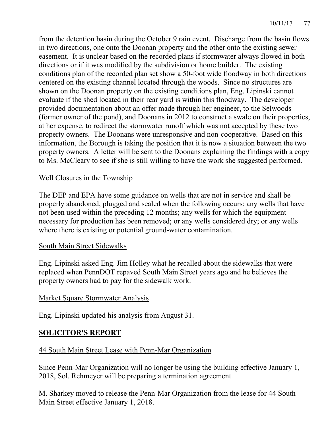from the detention basin during the October 9 rain event. Discharge from the basin flows in two directions, one onto the Doonan property and the other onto the existing sewer easement. It is unclear based on the recorded plans if stormwater always flowed in both directions or if it was modified by the subdivision or home builder. The existing conditions plan of the recorded plan set show a 50-foot wide floodway in both directions centered on the existing channel located through the woods. Since no structures are shown on the Doonan property on the existing conditions plan, Eng. Lipinski cannot evaluate if the shed located in their rear yard is within this floodway. The developer provided documentation about an offer made through her engineer, to the Selwoods (former owner of the pond), and Doonans in 2012 to construct a swale on their properties, at her expense, to redirect the stormwater runoff which was not accepted by these two property owners. The Doonans were unresponsive and non-cooperative. Based on this information, the Borough is taking the position that it is now a situation between the two property owners. A letter will be sent to the Doonans explaining the findings with a copy to Ms. McCleary to see if she is still willing to have the work she suggested performed.

### Well Closures in the Township

The DEP and EPA have some guidance on wells that are not in service and shall be properly abandoned, plugged and sealed when the following occurs: any wells that have not been used within the preceding 12 months; any wells for which the equipment necessary for production has been removed; or any wells considered dry; or any wells where there is existing or potential ground-water contamination.

### South Main Street Sidewalks

Eng. Lipinski asked Eng. Jim Holley what he recalled about the sidewalks that were replaced when PennDOT repaved South Main Street years ago and he believes the property owners had to pay for the sidewalk work.

#### Market Square Stormwater Analysis

Eng. Lipinski updated his analysis from August 31.

### **SOLICITOR'S REPORT**

#### 44 South Main Street Lease with Penn-Mar Organization

Since Penn-Mar Organization will no longer be using the building effective January 1, 2018, Sol. Rehmeyer will be preparing a termination agreement.

M. Sharkey moved to release the Penn-Mar Organization from the lease for 44 South Main Street effective January 1, 2018.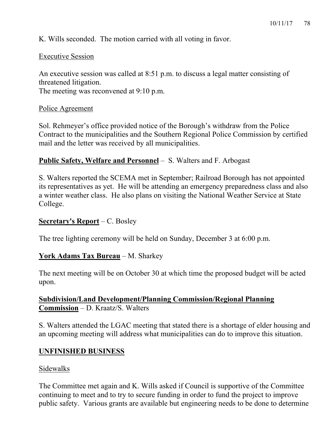K. Wills seconded. The motion carried with all voting in favor.

#### Executive Session

An executive session was called at 8:51 p.m. to discuss a legal matter consisting of threatened litigation.

The meeting was reconvened at 9:10 p.m.

#### Police Agreement

Sol. Rehmeyer's office provided notice of the Borough's withdraw from the Police Contract to the municipalities and the Southern Regional Police Commission by certified mail and the letter was received by all municipalities.

#### **Public Safety, Welfare and Personnel** – S. Walters and F. Arbogast

S. Walters reported the SCEMA met in September; Railroad Borough has not appointed its representatives as yet. He will be attending an emergency preparedness class and also a winter weather class. He also plans on visiting the National Weather Service at State College.

#### **Secretary's Report** – C. Bosley

The tree lighting ceremony will be held on Sunday, December 3 at 6:00 p.m.

#### **York Adams Tax Bureau** – M. Sharkey

The next meeting will be on October 30 at which time the proposed budget will be acted upon.

#### **Subdivision/Land Development/Planning Commission/Regional Planning Commission** – D. Kraatz/S. Walters

S. Walters attended the LGAC meeting that stated there is a shortage of elder housing and an upcoming meeting will address what municipalities can do to improve this situation.

#### **UNFINISHED BUSINESS**

#### Sidewalks

The Committee met again and K. Wills asked if Council is supportive of the Committee continuing to meet and to try to secure funding in order to fund the project to improve public safety. Various grants are available but engineering needs to be done to determine